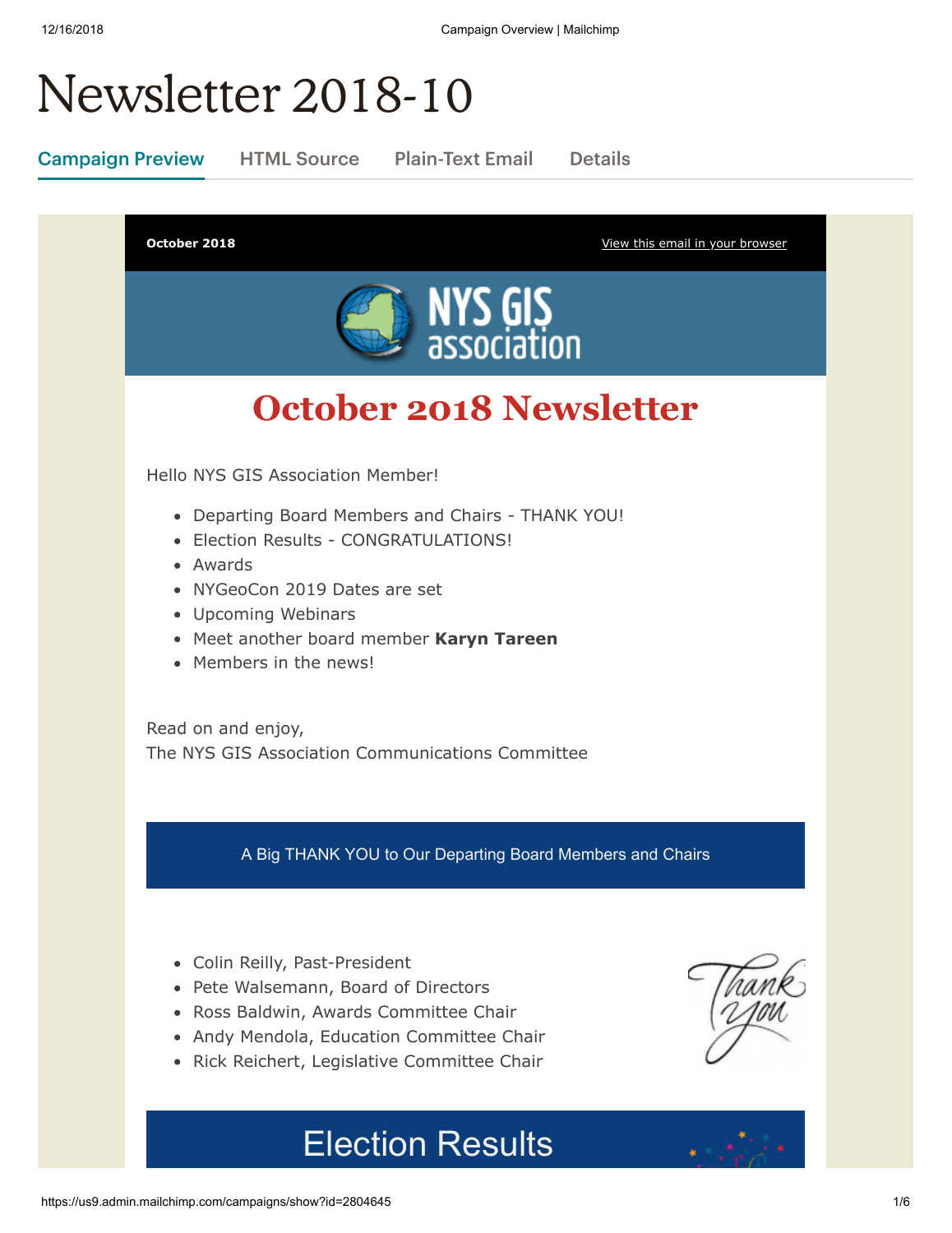# Newsletter 2018-10

Campaign Preview HTML Source Plain-Text Email Details

**October 2018 October 2018 [View this email in your browser](https://mailchi.mp/1debaaaf0ba7/newsletter-2804645?e=[UNIQID])** 



# **October 2018 Newsletter**

Hello NYS GIS Association Member!

- Departing Board Members and Chairs THANK YOU!
- Election Results CONGRATULATIONS!
- Awards
- NYGeoCon 2019 Dates are set
- Upcoming Webinars
- Meet another board member **Karyn Tareen**
- Members in the news!

Read on and enjoy, The NYS GIS Association Communications Committee

A Big THANK YOU to Our Departing Board Members and Chairs

- Colin Reilly, Past-President
- Pete Walsemann, Board of Directors
- Ross Baldwin, Awards Committee Chair
- Andy Mendola, Education Committee Chair
- Rick Reichert, Legislative Committee Chair

Election Results

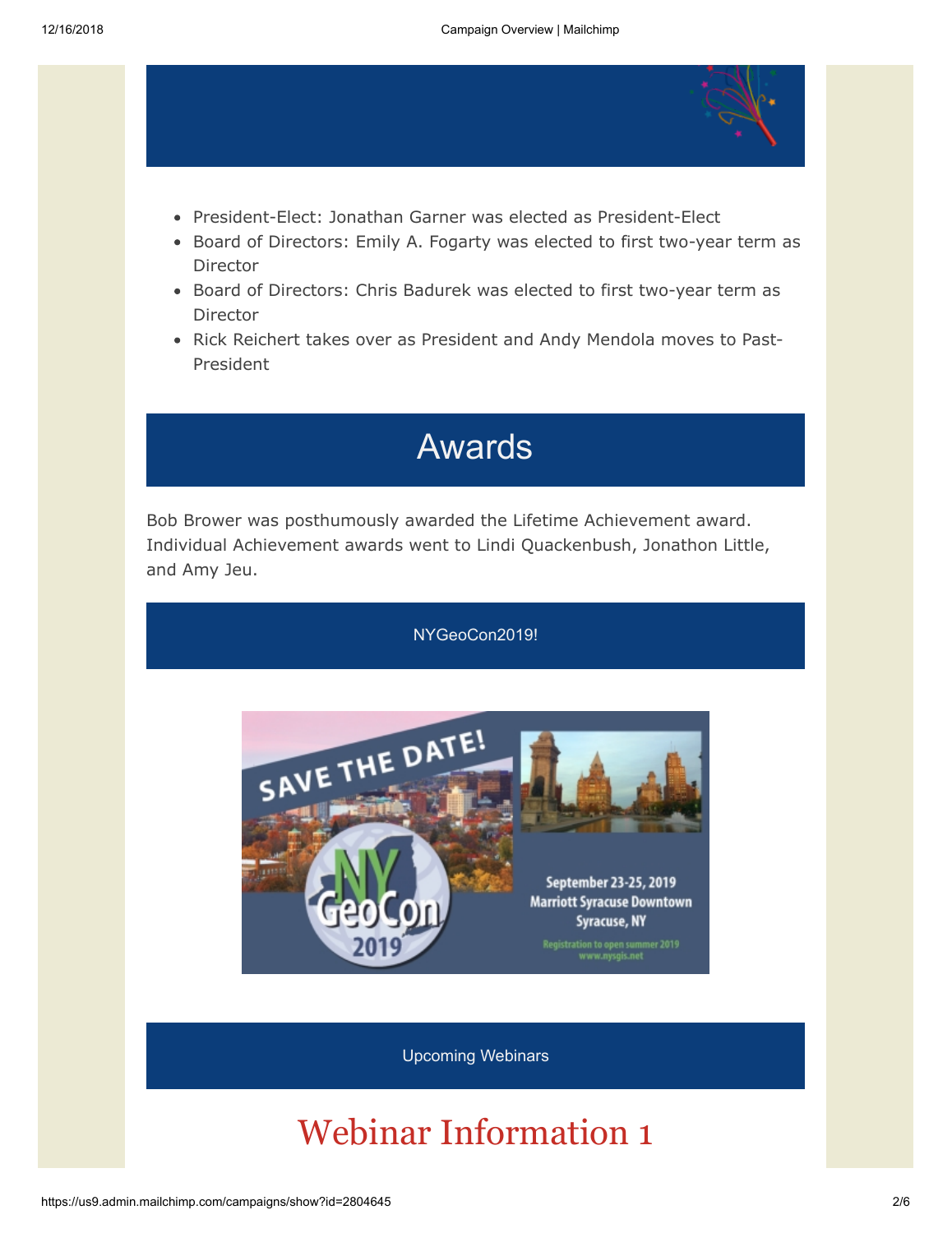

- President-Elect: Jonathan Garner was elected as President-Elect
- Board of Directors: Emily A. Fogarty was elected to first two-year term as Director
- Board of Directors: Chris Badurek was elected to first two-year term as Director
- Rick Reichert takes over as President and Andy Mendola moves to Past-President

## Awards

Bob Brower was posthumously awarded the Lifetime Achievement award. Individual Achievement awards went to Lindi Quackenbush, Jonathon Little, and Amy Jeu.



# Webinar Information 1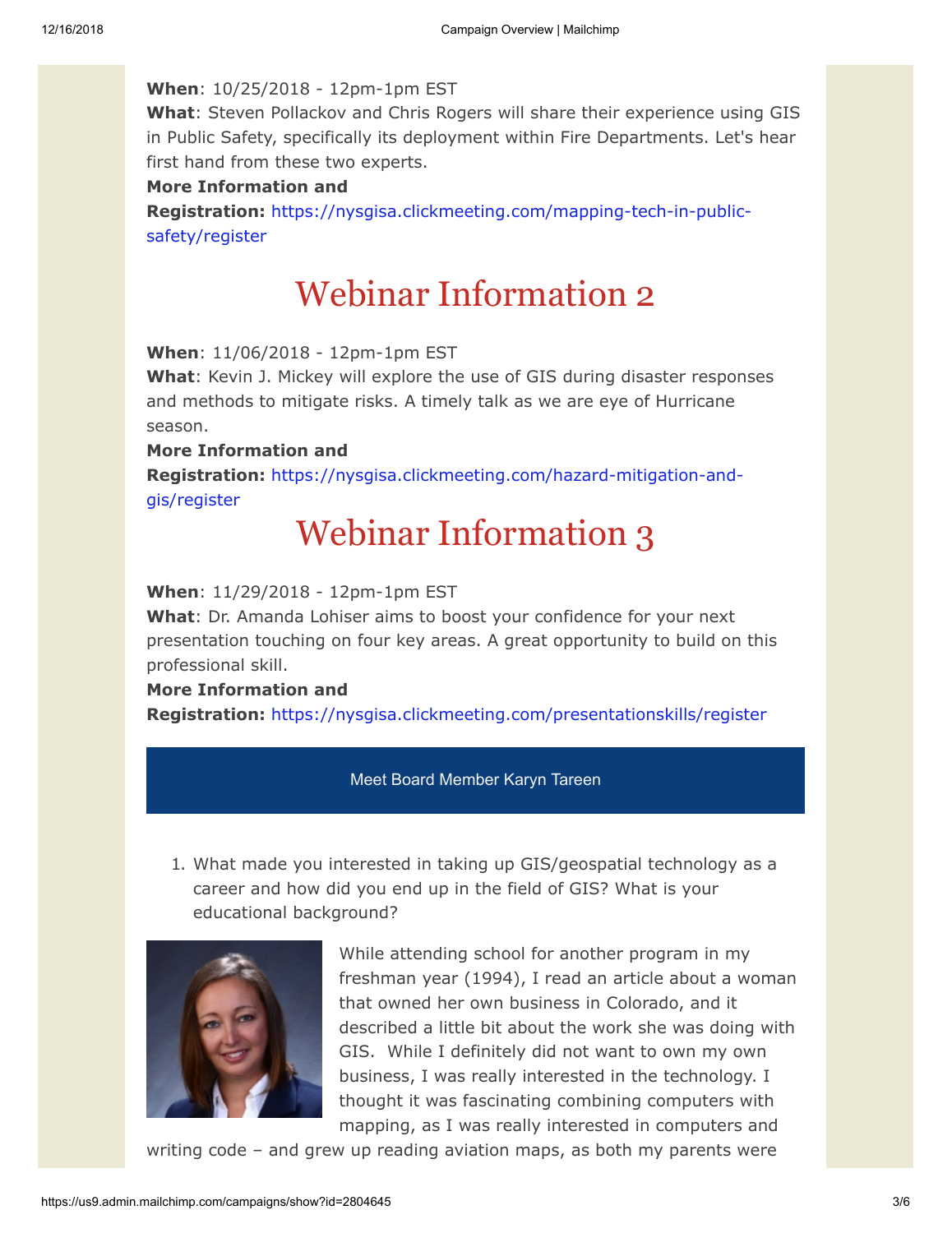#### **When**: 10/25/2018 - 12pm-1pm EST

**What**: Steven Pollackov and Chris Rogers will share their experience using GIS in Public Safety, specifically its deployment within Fire Departments. Let's hear first hand from these two experts.

#### **More Information and**

**Registration:** [https://nysgisa.clickmeeting.com/mapping-tech-in-public](https://nysgisa.clickmeeting.com/mapping-tech-in-public-safety/register)safety/register

### Webinar Information 2

**When**: 11/06/2018 - 12pm-1pm EST

**What**: Kevin J. Mickey will explore the use of GIS during disaster responses and methods to mitigate risks. A timely talk as we are eye of Hurricane season.

#### **More Information and**

**Registration:** [https://nysgisa.clickmeeting.com/hazard-mitigation-and](https://nysgisa.clickmeeting.com/hazard-mitigation-and-gis/register)gis/register

### Webinar Information 3

#### **When**: 11/29/2018 - 12pm-1pm EST

**What**: Dr. Amanda Lohiser aims to boost your confidence for your next presentation touching on four key areas. A great opportunity to build on this professional skill.

#### **More Information and**

**Registration:** <https://nysgisa.clickmeeting.com/presentationskills/register>

#### Meet Board Member Karyn Tareen

1. What made you interested in taking up GIS/geospatial technology as a career and how did you end up in the field of GIS? What is your educational background?



While attending school for another program in my freshman year (1994), I read an article about a woman that owned her own business in Colorado, and it described a little bit about the work she was doing with GIS. While I definitely did not want to own my own business, I was really interested in the technology. I thought it was fascinating combining computers with mapping, as I was really interested in computers and

writing code – and grew up reading aviation maps, as both my parents were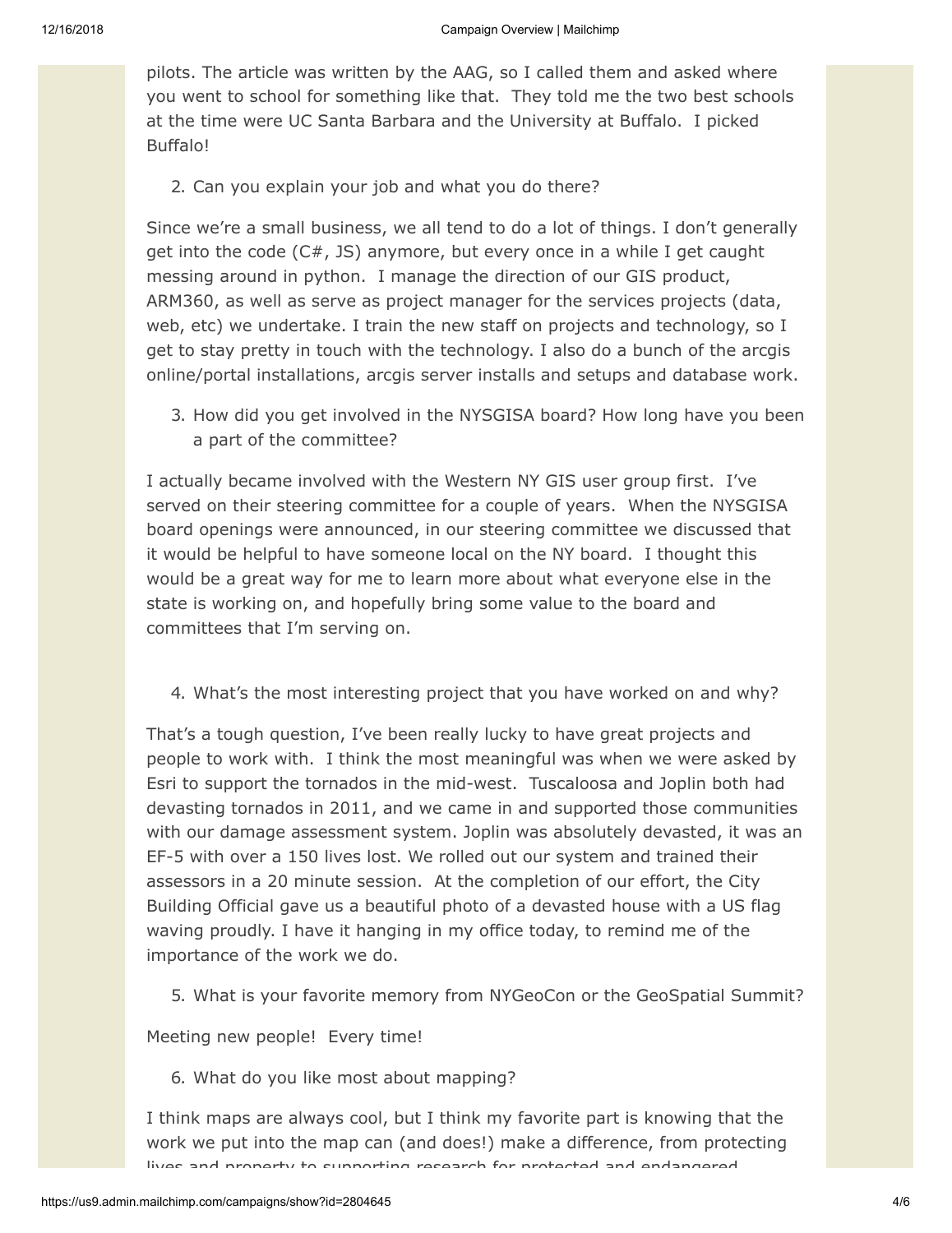pilots. The article was written by the AAG, so I called them and asked where you went to school for something like that. They told me the two best schools at the time were UC Santa Barbara and the University at Buffalo. I picked Buffalo!

2. Can you explain your job and what you do there?

Since we're a small business, we all tend to do a lot of things. I don't generally get into the code (C#, JS) anymore, but every once in a while I get caught messing around in python. I manage the direction of our GIS product, ARM360, as well as serve as project manager for the services projects (data, web, etc) we undertake. I train the new staff on projects and technology, so I get to stay pretty in touch with the technology. I also do a bunch of the arcgis online/portal installations, arcgis server installs and setups and database work.

3. How did you get involved in the NYSGISA board? How long have you been a part of the committee?

I actually became involved with the Western NY GIS user group first. I've served on their steering committee for a couple of years. When the NYSGISA board openings were announced, in our steering committee we discussed that it would be helpful to have someone local on the NY board. I thought this would be a great way for me to learn more about what everyone else in the state is working on, and hopefully bring some value to the board and committees that I'm serving on.

4. What's the most interesting project that you have worked on and why?

That's a tough question, I've been really lucky to have great projects and people to work with. I think the most meaningful was when we were asked by Esri to support the tornados in the mid-west. Tuscaloosa and Joplin both had devasting tornados in 2011, and we came in and supported those communities with our damage assessment system. Joplin was absolutely devasted, it was an EF-5 with over a 150 lives lost. We rolled out our system and trained their assessors in a 20 minute session. At the completion of our effort, the City Building Official gave us a beautiful photo of a devasted house with a US flag waving proudly. I have it hanging in my office today, to remind me of the importance of the work we do.

5. What is your favorite memory from NYGeoCon or the GeoSpatial Summit?

Meeting new people! Every time!

6. What do you like most about mapping?

I think maps are always cool, but I think my favorite part is knowing that the work we put into the map can (and does!) make a difference, from protecting lives and property to supporting research for protected and endangered